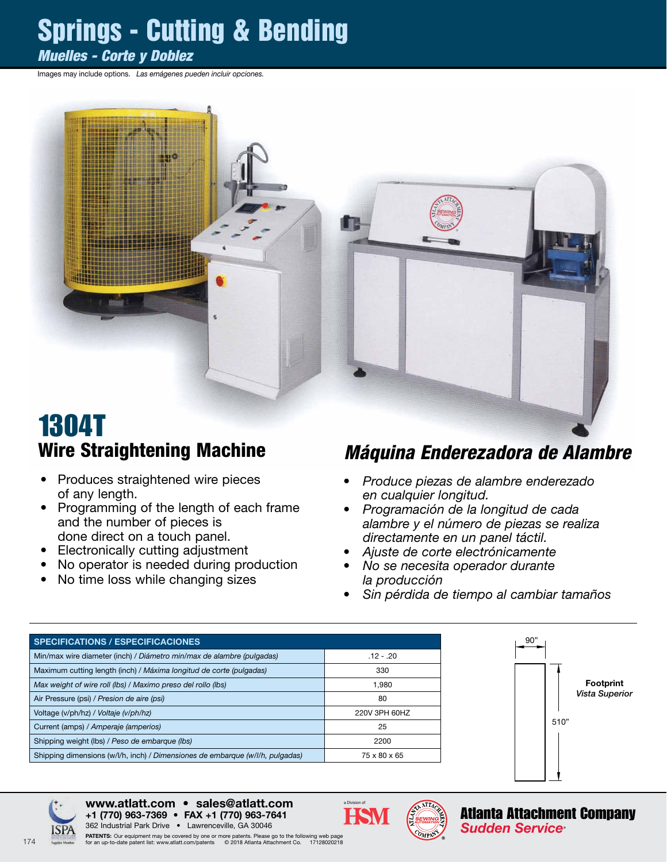## Springs - Cutting & Bending

#### *Muelles - Corte y Doblez*

Images may include options. *Las emágenes pueden incluir opciones.*



### 1304T Wire Straightening Machine

- Produces straightened wire pieces of any length.
- Programming of the length of each frame and the number of pieces is done direct on a touch panel.
- Electronically cutting adjustment
- No operator is needed during production
- No time loss while changing sizes

#### *Máquina Enderezadora de Alambre*

- *• Produce piezas de alambre enderezado en cualquier longitud.*
- *• Programación de la longitud de cada alambre y el número de piezas se realiza directamente en un panel táctil.*
- *• Ajuste de corte electrónicamente*
- *• No se necesita operador durante la producción*
- *• Sin pérdida de tiempo al cambiar tamaños*

| <b>SPECIFICATIONS / ESPECIFICACIONES</b>                                      |               |
|-------------------------------------------------------------------------------|---------------|
| Min/max wire diameter (inch) / Diámetro min/max de alambre (pulgadas)         | $.12 - .20$   |
| Maximum cutting length (inch) / Máxima longitud de corte (pulgadas)           | 330           |
| Max weight of wire roll (lbs) / Maximo preso del rollo (lbs)                  | 1.980         |
| Air Pressure (psi) / Presion de aire (psi)                                    | 80            |
| Voltage (v/ph/hz) / Voltaje (v/ph/hz)                                         | 220V 3PH 60HZ |
| Current (amps) / Amperaje (amperios)                                          | 25            |
| Shipping weight (lbs) / Peso de embarque (lbs)                                | 2200          |
| Shipping dimensions (w/l/h, inch) / Dimensiones de embarque (w/l/h, pulgadas) | 75 x 80 x 65  |





www.atlatt.com • sales@atlatt.com





174